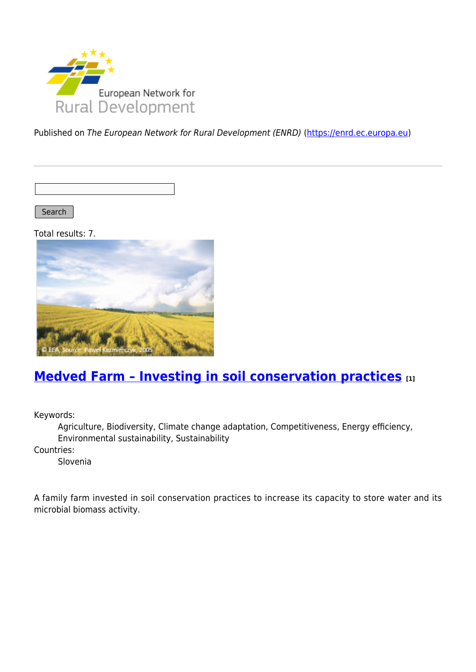

Published on The European Network for Rural Development (ENRD) [\(https://enrd.ec.europa.eu](https://enrd.ec.europa.eu))

Search |

Total results: 7.



#### **[Medved Farm – Investing in soil conservation practices](https://enrd.ec.europa.eu/projects-practice/medved-farm-investing-soil-conservation-practices_en) [1]**

Keywords:

Agriculture, Biodiversity, Climate change adaptation, Competitiveness, Energy efficiency, Environmental sustainability, Sustainability

Countries:

Slovenia

A family farm invested in soil conservation practices to increase its capacity to store water and its microbial biomass activity.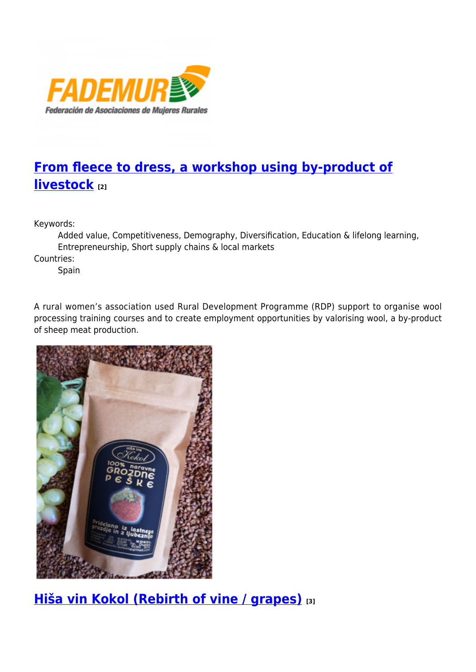

# **[From fleece to dress, a workshop using by-product of](https://enrd.ec.europa.eu/projects-practice/fleece-dress-workshop-using-product-livestock_en) [livestock](https://enrd.ec.europa.eu/projects-practice/fleece-dress-workshop-using-product-livestock_en) [2]**

Keywords:

Added value, Competitiveness, Demography, Diversification, Education & lifelong learning, Entrepreneurship, Short supply chains & local markets

Countries:

Spain

A rural women's association used Rural Development Programme (RDP) support to organise wool processing training courses and to create employment opportunities by valorising wool, a by-product of sheep meat production.



## **[Hiša vin Kokol \(Rebirth of vine / grapes\)](https://enrd.ec.europa.eu/projects-practice/hisa-vin-kokol-rebirth-vine-grapes_en) [3]**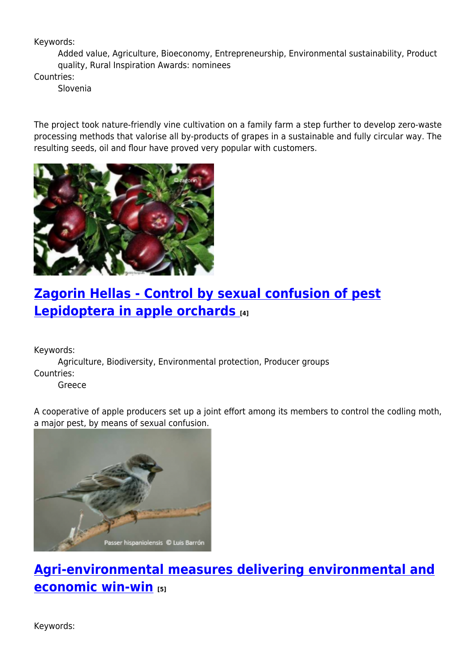#### Keywords:

Added value, Agriculture, Bioeconomy, Entrepreneurship, Environmental sustainability, Product quality, Rural Inspiration Awards: nominees

Countries:

Slovenia

The project took nature-friendly vine cultivation on a family farm a step further to develop zero-waste processing methods that valorise all by-products of grapes in a sustainable and fully circular way. The resulting seeds, oil and flour have proved very popular with customers.



#### **[Zagorin Hellas - Control by sexual confusion of pest](https://enrd.ec.europa.eu/projects-practice/zagorin-hellas-control-sexual-confusion-pest-lepidoptera-apple-orchards_en) [Lepidoptera in apple orchards](https://enrd.ec.europa.eu/projects-practice/zagorin-hellas-control-sexual-confusion-pest-lepidoptera-apple-orchards_en) [4]**

Keywords:

Agriculture, Biodiversity, Environmental protection, Producer groups Countries:

Greece

A cooperative of apple producers set up a joint effort among its members to control the codling moth, a major pest, by means of sexual confusion.



## **[Agri-environmental measures delivering environmental and](https://enrd.ec.europa.eu/projects-practice/agri-environmental-measures-environmental-economic-win-win_en) [economic win-win](https://enrd.ec.europa.eu/projects-practice/agri-environmental-measures-environmental-economic-win-win_en) [5]**

Keywords: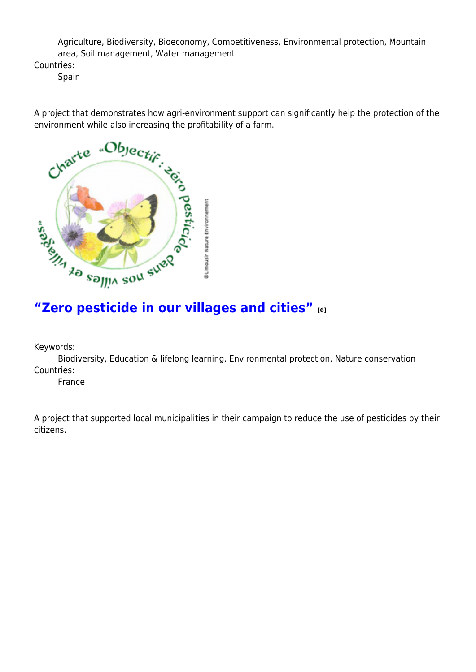Agriculture, Biodiversity, Bioeconomy, Competitiveness, Environmental protection, Mountain area, Soil management, Water management

Countries:

Spain

environment while also increasing the profitability of a farm.



Keywords:

Biodiversity, Education & lifelong learning, Environmental protection, Nature conservation Countries:

France

A project that supported local municipalities in their campaign to reduce the use of pesticides by their citizens.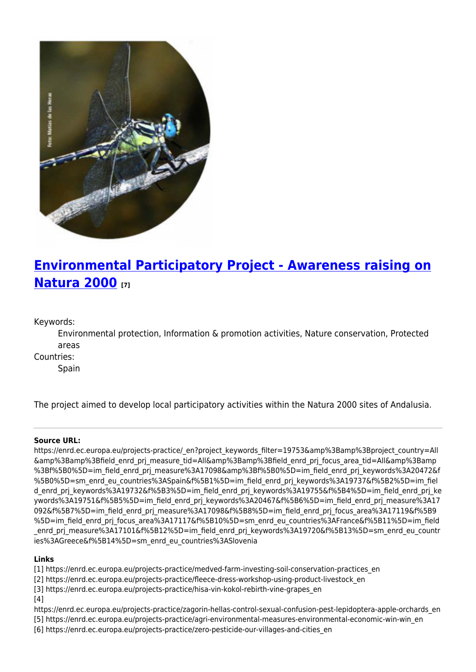

# **[Environmental Participatory Project - Awareness raising on](https://enrd.ec.europa.eu/projects-practice/environmental-participatory-project-awareness-raising-natura-2000_en) [Natura 2000](https://enrd.ec.europa.eu/projects-practice/environmental-participatory-project-awareness-raising-natura-2000_en) [7]**

Keywords:

Environmental protection, Information & promotion activities, Nature conservation, Protected areas

Countries:

Spain

The project aimed to develop local participatory activities within the Natura 2000 sites of Andalusia.

#### **Source URL:**

https://enrd.ec.europa.eu/projects-practice/\_en?project\_keywords\_filter=19753&amp%3Bamp%3Bproject\_country=All &amp%3Bamp%3Bfield\_enrd\_prj\_measure\_tid=All&amp%3Bamp%3Bfield\_enrd\_prj\_focus\_area\_tid=All&amp%3Bamp %3Bf%5B0%5D=im field enrd prj measure%3A17098&amp%3Bf%5B0%5D=im field enrd prj keywords%3A20472&f %5B0%5D=sm\_enrd\_eu\_countries%3ASpain&f%5B1%5D=im\_field\_enrd\_prj\_keywords%3A19737&f%5B2%5D=im\_fiel d enrd prj keywords%3A19732&f%5B3%5D=im field enrd prj keywords%3A19755&f%5B4%5D=im field enrd prj ke ywords%3A19751&f%5B5%5D=im\_field\_enrd\_prj\_keywords%3A20467&f%5B6%5D=im\_field\_enrd\_prj\_measure%3A17 092&f%5B7%5D=im\_field\_enrd\_prj\_measure%3A17098&f%5B8%5D=im\_field\_enrd\_prj\_focus\_area%3A17119&f%5B9 %5D=im\_field\_enrd\_prj\_focus\_area%3A17117&f%5B10%5D=sm\_enrd\_eu\_countries%3AFrance&f%5B11%5D=im\_field enrd\_prj\_measure%3A17101&f%5B12%5D=im\_field\_enrd\_prj\_keywords%3A19720&f%5B13%5D=sm\_enrd\_eu\_countr ies%3AGreece&f%5B14%5D=sm\_enrd\_eu\_countries%3ASlovenia

#### **Links**

[1] https://enrd.ec.europa.eu/projects-practice/medved-farm-investing-soil-conservation-practices\_en

- [2] https://enrd.ec.europa.eu/projects-practice/fleece-dress-workshop-using-product-livestock\_en
- [3] https://enrd.ec.europa.eu/projects-practice/hisa-vin-kokol-rebirth-vine-grapes\_en
- $[4]$

https://enrd.ec.europa.eu/projects-practice/zagorin-hellas-control-sexual-confusion-pest-lepidoptera-apple-orchards\_en

- [5] https://enrd.ec.europa.eu/projects-practice/agri-environmental-measures-environmental-economic-win-win\_en
- [6] https://enrd.ec.europa.eu/projects-practice/zero-pesticide-our-villages-and-cities\_en